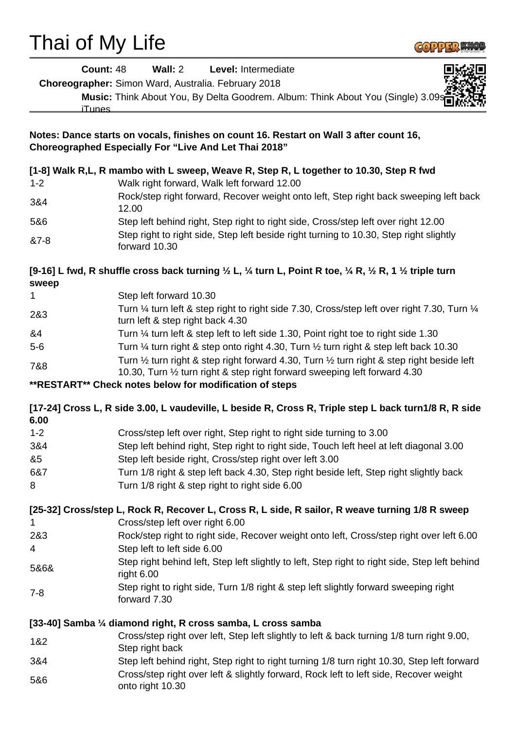# Thai of My Life



| <b>Count: 48</b>                                                                                                                                       | Wall: 2<br>Level: Intermediate                                                                                                                                            |
|--------------------------------------------------------------------------------------------------------------------------------------------------------|---------------------------------------------------------------------------------------------------------------------------------------------------------------------------|
|                                                                                                                                                        | Choreographer: Simon Ward, Australia. February 2018                                                                                                                       |
| iTunes                                                                                                                                                 | Music: Think About You, By Delta Goodrem. Album: Think About You (Single) 3.09s                                                                                           |
| Notes: Dance starts on vocals, finishes on count 16. Restart on Wall 3 after count 16,<br><b>Choreographed Especially For "Live And Let Thai 2018"</b> |                                                                                                                                                                           |
|                                                                                                                                                        | [1-8] Walk R,L, R mambo with L sweep, Weave R, Step R, L together to 10.30, Step R fwd                                                                                    |
| $1 - 2$                                                                                                                                                | Walk right forward, Walk left forward 12.00                                                                                                                               |
| 3&4                                                                                                                                                    | Rock/step right forward, Recover weight onto left, Step right back sweeping left back<br>12.00                                                                            |
| 5&6                                                                                                                                                    | Step left behind right, Step right to right side, Cross/step left over right 12.00                                                                                        |
| &7-8                                                                                                                                                   | Step right to right side, Step left beside right turning to 10.30, Step right slightly<br>forward 10.30                                                                   |
| sweep                                                                                                                                                  | [9-16] L fwd, R shuffle cross back turning $\frac{1}{2}$ L, $\frac{1}{4}$ turn L, Point R toe, $\frac{1}{4}$ R, $\frac{1}{2}$ R, 1 $\frac{1}{2}$ triple turn              |
| 1                                                                                                                                                      | Step left forward 10.30                                                                                                                                                   |
| 2&3                                                                                                                                                    | Turn 1/4 turn left & step right to right side 7.30, Cross/step left over right 7.30, Turn 1/4<br>turn left & step right back 4.30                                         |
| &4                                                                                                                                                     | Turn 1/4 turn left & step left to left side 1.30, Point right toe to right side 1.30                                                                                      |
| $5-6$                                                                                                                                                  | Turn 1/4 turn right & step onto right 4.30, Turn 1/2 turn right & step left back 10.30                                                                                    |
| 7&8                                                                                                                                                    | Turn 1/2 turn right & step right forward 4.30, Turn 1/2 turn right & step right beside left<br>10.30, Turn 1/2 turn right & step right forward sweeping left forward 4.30 |
|                                                                                                                                                        | **RESTART** Check notes below for modification of steps                                                                                                                   |
| 6.00                                                                                                                                                   | [17-24] Cross L, R side 3.00, L vaudeville, L beside R, Cross R, Triple step L back turn1/8 R, R side                                                                     |
| $1 - 2$                                                                                                                                                | Cross/step left over right, Step right to right side turning to 3.00                                                                                                      |
| 3&4                                                                                                                                                    | Step left behind right, Step right to right side, Touch left heel at left diagonal 3.00                                                                                   |
| &5                                                                                                                                                     | Step left beside right, Cross/step right over left 3.00                                                                                                                   |
| 6&7                                                                                                                                                    | Turn 1/8 right & step left back 4.30, Step right beside left, Step right slightly back                                                                                    |
| 8                                                                                                                                                      | Turn 1/8 right & step right to right side 6.00                                                                                                                            |
|                                                                                                                                                        | [25-32] Cross/step L, Rock R, Recover L, Cross R, L side, R sailor, R weave turning 1/8 R sweep                                                                           |
| 1                                                                                                                                                      | Cross/step left over right 6.00                                                                                                                                           |
| 2&3                                                                                                                                                    | Rock/step right to right side, Recover weight onto left, Cross/step right over left 6.00<br>Step left to left side 6.00                                                   |
| 4                                                                                                                                                      | Step right behind left, Step left slightly to left, Step right to right side, Step left behind                                                                            |
| 5&6&                                                                                                                                                   | right 6.00                                                                                                                                                                |
| $7 - 8$                                                                                                                                                | Step right to right side, Turn 1/8 right & step left slightly forward sweeping right<br>forward 7.30                                                                      |
|                                                                                                                                                        | [33-40] Samba 1/4 diamond right, R cross samba, L cross samba                                                                                                             |
| 1&2                                                                                                                                                    | Cross/step right over left, Step left slightly to left & back turning 1/8 turn right 9.00,<br>Step right back                                                             |
| 3&4                                                                                                                                                    | Step left behind right, Step right to right turning 1/8 turn right 10.30, Step left forward                                                                               |
| 5&6                                                                                                                                                    | Cross/step right over left & slightly forward, Rock left to left side, Recover weight<br>onto right 10.30                                                                 |